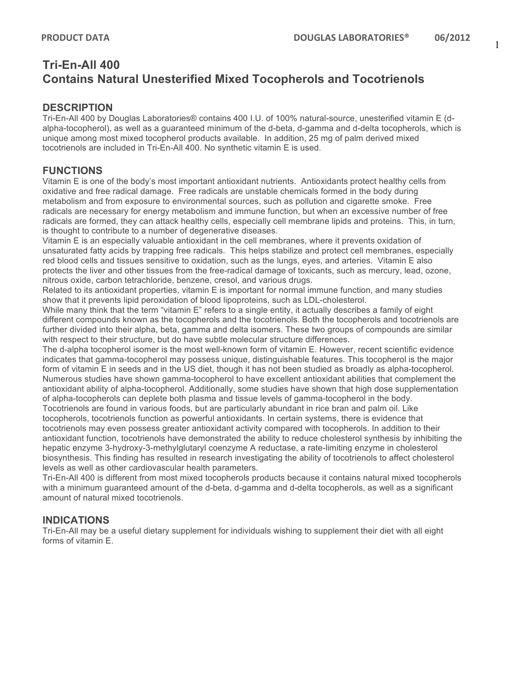# **Tri-En-All 400 Contains Natural Unesterified Mixed Tocopherols and Tocotrienols**

## **DESCRIPTION**

Tri-En-All 400 by Douglas Laboratories® contains 400 I.U. of 100% natural-source, unesterified vitamin E (dalpha-tocopherol), as well as a guaranteed minimum of the d-beta, d-gamma and d-delta tocopherols, which is unique among most mixed tocopherol products available. In addition, 25 mg of palm derived mixed tocotrienols are included in Tri-En-All 400. No synthetic vitamin E is used.

## **FUNCTIONS**

Vitamin E is one of the body's most important antioxidant nutrients. Antioxidants protect healthy cells from oxidative and free radical damage. Free radicals are unstable chemicals formed in the body during metabolism and from exposure to environmental sources, such as pollution and cigarette smoke. Free radicals are necessary for energy metabolism and immune function, but when an excessive number of free radicals are formed, they can attack healthy cells, especially cell membrane lipids and proteins. This, in turn, is thought to contribute to a number of degenerative diseases.

Vitamin E is an especially valuable antioxidant in the cell membranes, where it prevents oxidation of unsaturated fatty acids by trapping free radicals. This helps stabilize and protect cell membranes, especially red blood cells and tissues sensitive to oxidation, such as the lungs, eyes, and arteries. Vitamin E also protects the liver and other tissues from the free-radical damage of toxicants, such as mercury, lead, ozone, nitrous oxide, carbon tetrachloride, benzene, cresol, and various drugs.

Related to its antioxidant properties, vitamin E is important for normal immune function, and many studies show that it prevents lipid peroxidation of blood lipoproteins, such as LDL-cholesterol.

While many think that the term "vitamin E" refers to a single entity, it actually describes a family of eight different compounds known as the tocopherols and the tocotrienols. Both the tocopherols and tocotrienols are further divided into their alpha, beta, gamma and delta isomers. These two groups of compounds are similar with respect to their structure, but do have subtle molecular structure differences.

The d-alpha tocopherol isomer is the most well-known form of vitamin E. However, recent scientific evidence indicates that gamma-tocopherol may possess unique, distinguishable features. This tocopherol is the major form of vitamin E in seeds and in the US diet, though it has not been studied as broadly as alpha-tocopherol. Numerous studies have shown gamma-tocopherol to have excellent antioxidant abilities that complement the antioxidant ability of alpha-tocopherol. Additionally, some studies have shown that high dose supplementation of alpha-tocopherols can deplete both plasma and tissue levels of gamma-tocopherol in the body.

Tocotrienols are found in various foods, but are particularly abundant in rice bran and palm oil. Like tocopherols, tocotrienols function as powerful antioxidants. In certain systems, there is evidence that tocotrienols may even possess greater antioxidant activity compared with tocopherols. In addition to their antioxidant function, tocotrienols have demonstrated the ability to reduce cholesterol synthesis by inhibiting the hepatic enzyme 3-hydroxy-3-methylglutaryl coenzyme A reductase, a rate-limiting enzyme in cholesterol biosynthesis. This finding has resulted in research investigating the ability of tocotrienols to affect cholesterol levels as well as other cardiovascular health parameters.

Tri-En-All 400 is different from most mixed tocopherols products because it contains natural mixed tocopherols with a minimum guaranteed amount of the d-beta, d-gamma and d-delta tocopherols, as well as a significant amount of natural mixed tocotrienols.

# **INDICATIONS**

Tri-En-All may be a useful dietary supplement for individuals wishing to supplement their diet with all eight forms of vitamin E.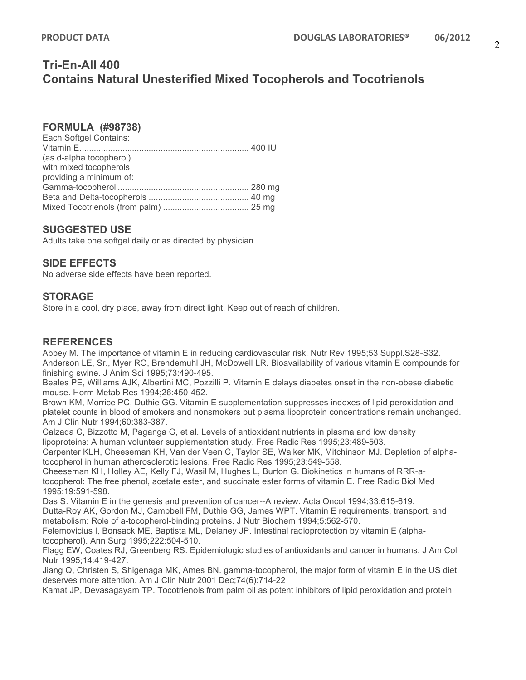# **Tri-En-All 400 Contains Natural Unesterified Mixed Tocopherols and Tocotrienols**

#### **FORMULA (#98738)**

| Each Softgel Contains:  |  |
|-------------------------|--|
|                         |  |
| (as d-alpha tocopherol) |  |
| with mixed tocopherols  |  |
| providing a minimum of: |  |
|                         |  |
|                         |  |
|                         |  |

#### **SUGGESTED USE**

Adults take one softgel daily or as directed by physician.

### **SIDE EFFECTS**

No adverse side effects have been reported.

#### **STORAGE**

Store in a cool, dry place, away from direct light. Keep out of reach of children.

### **REFERENCES**

Abbey M. The importance of vitamin E in reducing cardiovascular risk. Nutr Rev 1995;53 Suppl.S28-S32. Anderson LE, Sr., Myer RO, Brendemuhl JH, McDowell LR. Bioavailability of various vitamin E compounds for finishing swine. J Anim Sci 1995;73:490-495.

Beales PE, Williams AJK, Albertini MC, Pozzilli P. Vitamin E delays diabetes onset in the non-obese diabetic mouse. Horm Metab Res 1994;26:450-452.

Brown KM, Morrice PC, Duthie GG. Vitamin E supplementation suppresses indexes of lipid peroxidation and platelet counts in blood of smokers and nonsmokers but plasma lipoprotein concentrations remain unchanged. Am J Clin Nutr 1994;60:383-387.

Calzada C, Bizzotto M, Paganga G, et al. Levels of antioxidant nutrients in plasma and low density lipoproteins: A human volunteer supplementation study. Free Radic Res 1995;23:489-503.

Carpenter KLH, Cheeseman KH, Van der Veen C, Taylor SE, Walker MK, Mitchinson MJ. Depletion of alphatocopherol in human atherosclerotic lesions. Free Radic Res 1995;23:549-558.

Cheeseman KH, Holley AE, Kelly FJ, Wasil M, Hughes L, Burton G. Biokinetics in humans of RRR-atocopherol: The free phenol, acetate ester, and succinate ester forms of vitamin E. Free Radic Biol Med 1995;19:591-598.

Das S. Vitamin E in the genesis and prevention of cancer--A review. Acta Oncol 1994;33:615-619. Dutta-Roy AK, Gordon MJ, Campbell FM, Duthie GG, James WPT. Vitamin E requirements, transport, and metabolism: Role of a-tocopherol-binding proteins. J Nutr Biochem 1994;5:562-570.

Felemovicius I, Bonsack ME, Baptista ML, Delaney JP. Intestinal radioprotection by vitamin E (alphatocopherol). Ann Surg 1995;222:504-510.

Flagg EW, Coates RJ, Greenberg RS. Epidemiologic studies of antioxidants and cancer in humans. J Am Coll Nutr 1995;14:419-427.

Jiang Q, Christen S, Shigenaga MK, Ames BN. gamma-tocopherol, the major form of vitamin E in the US diet, deserves more attention. Am J Clin Nutr 2001 Dec;74(6):714-22

Kamat JP, Devasagayam TP. Tocotrienols from palm oil as potent inhibitors of lipid peroxidation and protein